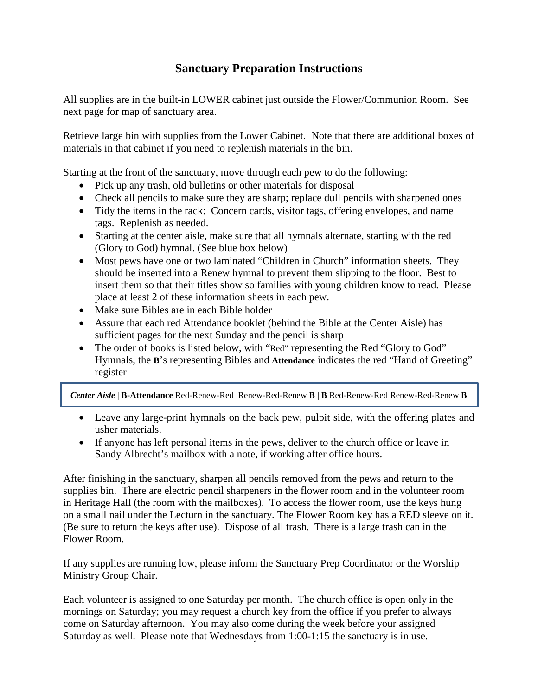## **Sanctuary Preparation Instructions**

All supplies are in the built-in LOWER cabinet just outside the Flower/Communion Room. See next page for map of sanctuary area.

Retrieve large bin with supplies from the Lower Cabinet. Note that there are additional boxes of materials in that cabinet if you need to replenish materials in the bin.

Starting at the front of the sanctuary, move through each pew to do the following:

- Pick up any trash, old bulletins or other materials for disposal
- Check all pencils to make sure they are sharp; replace dull pencils with sharpened ones
- Tidy the items in the rack: Concern cards, visitor tags, offering envelopes, and name tags. Replenish as needed.
- Starting at the center aisle, make sure that all hymnals alternate, starting with the red (Glory to God) hymnal. (See blue box below)
- Most pews have one or two laminated "Children in Church" information sheets. They should be inserted into a Renew hymnal to prevent them slipping to the floor. Best to insert them so that their titles show so families with young children know to read. Please place at least 2 of these information sheets in each pew.
- Make sure Bibles are in each Bible holder
- Assure that each red Attendance booklet (behind the Bible at the Center Aisle) has sufficient pages for the next Sunday and the pencil is sharp
- The order of books is listed below, with "Red" representing the Red "Glory to God" Hymnals, the **B**'s representing Bibles and **Attendance** indicates the red "Hand of Greeting" register

*Center Aisle* | **B-Attendance** Red-Renew-Red Renew-Red-Renew **B | B** Red-Renew-Red Renew-Red-Renew **B**

- Leave any large-print hymnals on the back pew, pulpit side, with the offering plates and usher materials.
- If anyone has left personal items in the pews, deliver to the church office or leave in Sandy Albrecht's mailbox with a note, if working after office hours.

After finishing in the sanctuary, sharpen all pencils removed from the pews and return to the supplies bin. There are electric pencil sharpeners in the flower room and in the volunteer room in Heritage Hall (the room with the mailboxes). To access the flower room, use the keys hung on a small nail under the Lecturn in the sanctuary. The Flower Room key has a RED sleeve on it. (Be sure to return the keys after use). Dispose of all trash. There is a large trash can in the Flower Room.

If any supplies are running low, please inform the Sanctuary Prep Coordinator or the Worship Ministry Group Chair.

Each volunteer is assigned to one Saturday per month. The church office is open only in the mornings on Saturday; you may request a church key from the office if you prefer to always come on Saturday afternoon. You may also come during the week before your assigned Saturday as well. Please note that Wednesdays from 1:00-1:15 the sanctuary is in use.